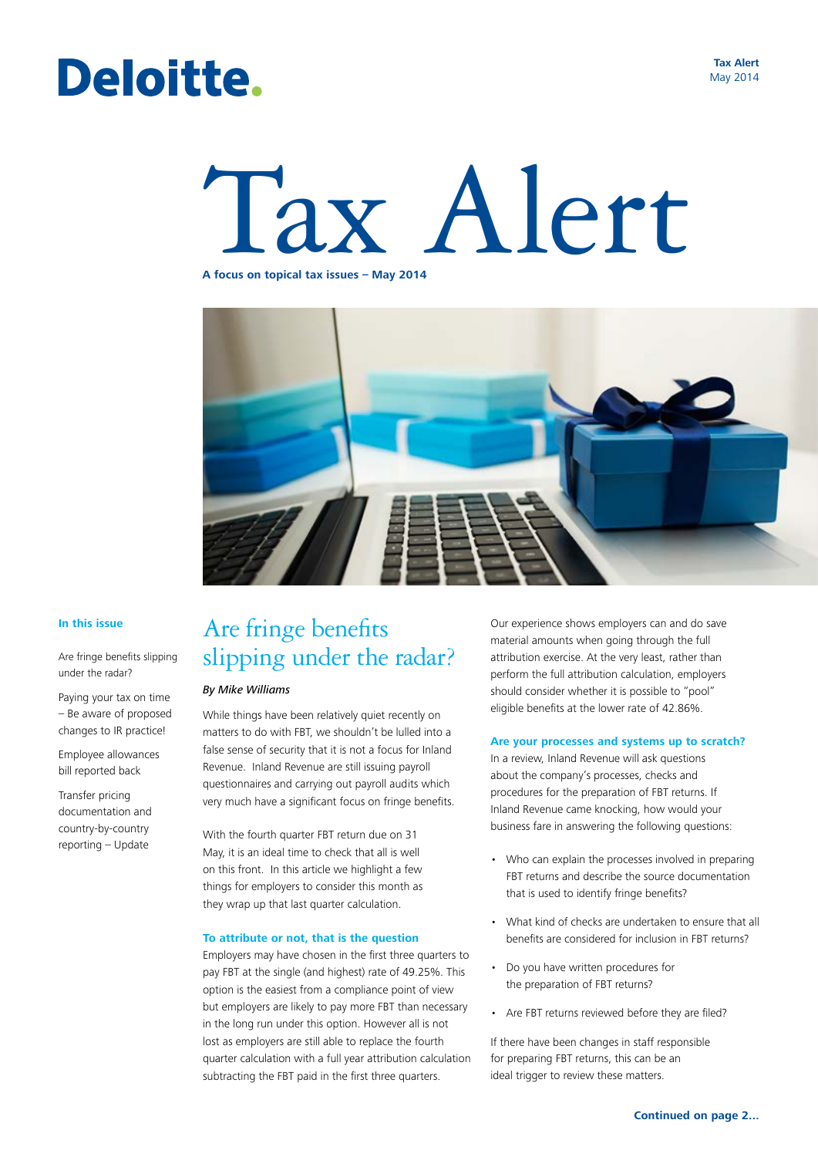## Deloitte.

**Tax Alert** May 2014

# Tax Alert **A focus on topical tax issues – May 2014**

### **In this issue**

Are fringe benefits slipping under the radar?

Paying your tax on time – Be aware of proposed changes to IR practice!

Employee allowances bill reported back

Transfer pricing documentation and country-by-country reporting – Update

### Are fringe benefits slipping under the radar?

### *By Mike Williams*

While things have been relatively quiet recently on matters to do with FBT, we shouldn't be lulled into a false sense of security that it is not a focus for Inland Revenue. Inland Revenue are still issuing payroll questionnaires and carrying out payroll audits which very much have a significant focus on fringe benefits.

With the fourth quarter FBT return due on 31 May, it is an ideal time to check that all is well on this front. In this article we highlight a few things for employers to consider this month as they wrap up that last quarter calculation.

### **To attribute or not, that is the question**

Employers may have chosen in the first three quarters to pay FBT at the single (and highest) rate of 49.25%. This option is the easiest from a compliance point of view but employers are likely to pay more FBT than necessary in the long run under this option. However all is not lost as employers are still able to replace the fourth quarter calculation with a full year attribution calculation subtracting the FBT paid in the first three quarters.

Our experience shows employers can and do save material amounts when going through the full attribution exercise. At the very least, rather than perform the full attribution calculation, employers should consider whether it is possible to "pool" eligible benefits at the lower rate of 42.86%.

#### **Are your processes and systems up to scratch?**

In a review, Inland Revenue will ask questions about the company's processes, checks and procedures for the preparation of FBT returns. If Inland Revenue came knocking, how would your business fare in answering the following questions:

- Who can explain the processes involved in preparing FBT returns and describe the source documentation that is used to identify fringe benefits?
- What kind of checks are undertaken to ensure that all benefits are considered for inclusion in FBT returns?
- Do you have written procedures for the preparation of FBT returns?
- Are FBT returns reviewed before they are filed?

If there have been changes in staff responsible for preparing FBT returns, this can be an ideal trigger to review these matters.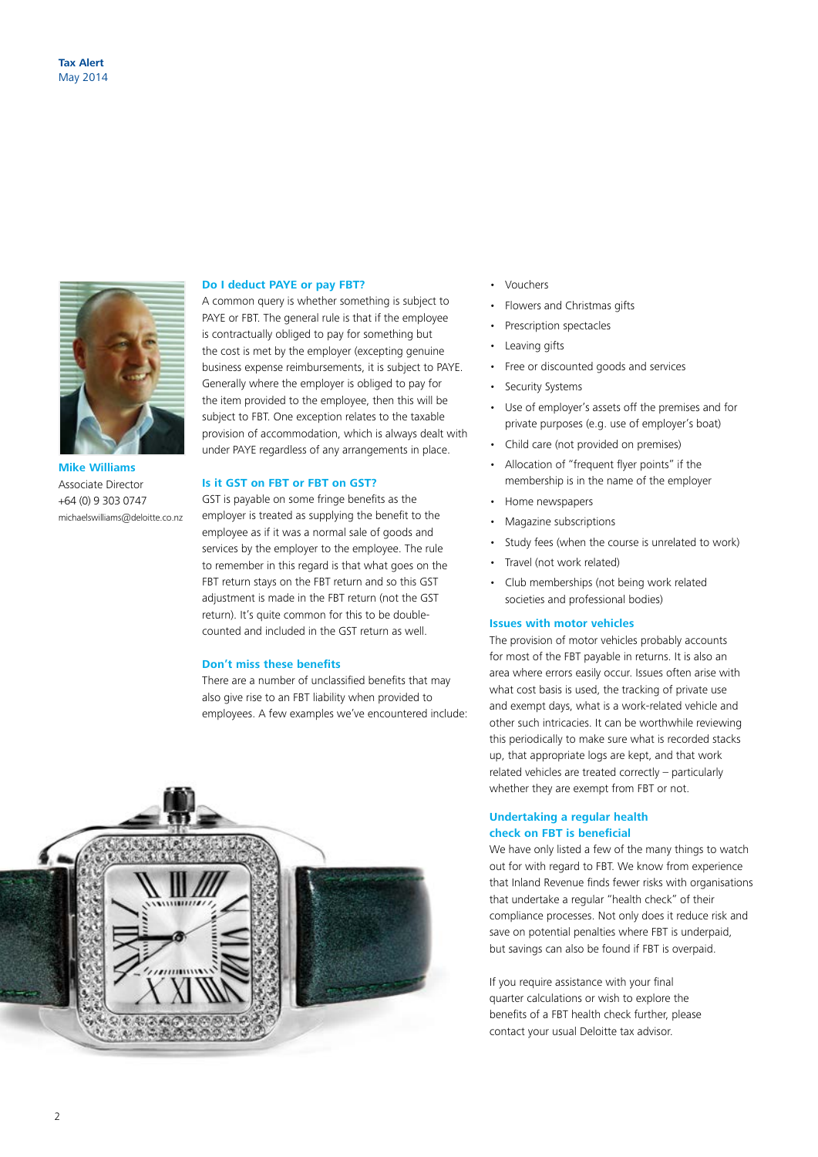

**Mike Williams** Associate Director +64 (0) 9 303 0747 michaelswilliams@deloitte.co.nz

#### **Do I deduct PAYE or pay FBT?**

A common query is whether something is subject to PAYE or FBT. The general rule is that if the employee is contractually obliged to pay for something but the cost is met by the employer (excepting genuine business expense reimbursements, it is subject to PAYE. Generally where the employer is obliged to pay for the item provided to the employee, then this will be subject to FBT. One exception relates to the taxable provision of accommodation, which is always dealt with under PAYE regardless of any arrangements in place.

### **Is it GST on FBT or FBT on GST?**

GST is payable on some fringe benefits as the employer is treated as supplying the benefit to the employee as if it was a normal sale of goods and services by the employer to the employee. The rule to remember in this regard is that what goes on the FBT return stays on the FBT return and so this GST adjustment is made in the FBT return (not the GST return). It's quite common for this to be doublecounted and included in the GST return as well.

#### **Don't miss these benefits**

There are a number of unclassified benefits that may also give rise to an FBT liability when provided to employees. A few examples we've encountered include:



- Vouchers
- Flowers and Christmas gifts
- Prescription spectacles
- Leaving gifts
- Free or discounted goods and services
- Security Systems
- Use of employer's assets off the premises and for private purposes (e.g. use of employer's boat)
- Child care (not provided on premises)
- Allocation of "frequent flyer points" if the membership is in the name of the employer
- Home newspapers
- Magazine subscriptions
- Study fees (when the course is unrelated to work)
- Travel (not work related)
- Club memberships (not being work related societies and professional bodies)

### **Issues with motor vehicles**

The provision of motor vehicles probably accounts for most of the FBT payable in returns. It is also an area where errors easily occur. Issues often arise with what cost basis is used, the tracking of private use and exempt days, what is a work-related vehicle and other such intricacies. It can be worthwhile reviewing this periodically to make sure what is recorded stacks up, that appropriate logs are kept, and that work related vehicles are treated correctly – particularly whether they are exempt from FBT or not.

### **Undertaking a regular health check on FBT is beneficial**

We have only listed a few of the many things to watch out for with regard to FBT. We know from experience that Inland Revenue finds fewer risks with organisations that undertake a regular "health check" of their compliance processes. Not only does it reduce risk and save on potential penalties where FBT is underpaid, but savings can also be found if FBT is overpaid.

If you require assistance with your final quarter calculations or wish to explore the benefits of a FBT health check further, please contact your usual Deloitte tax advisor.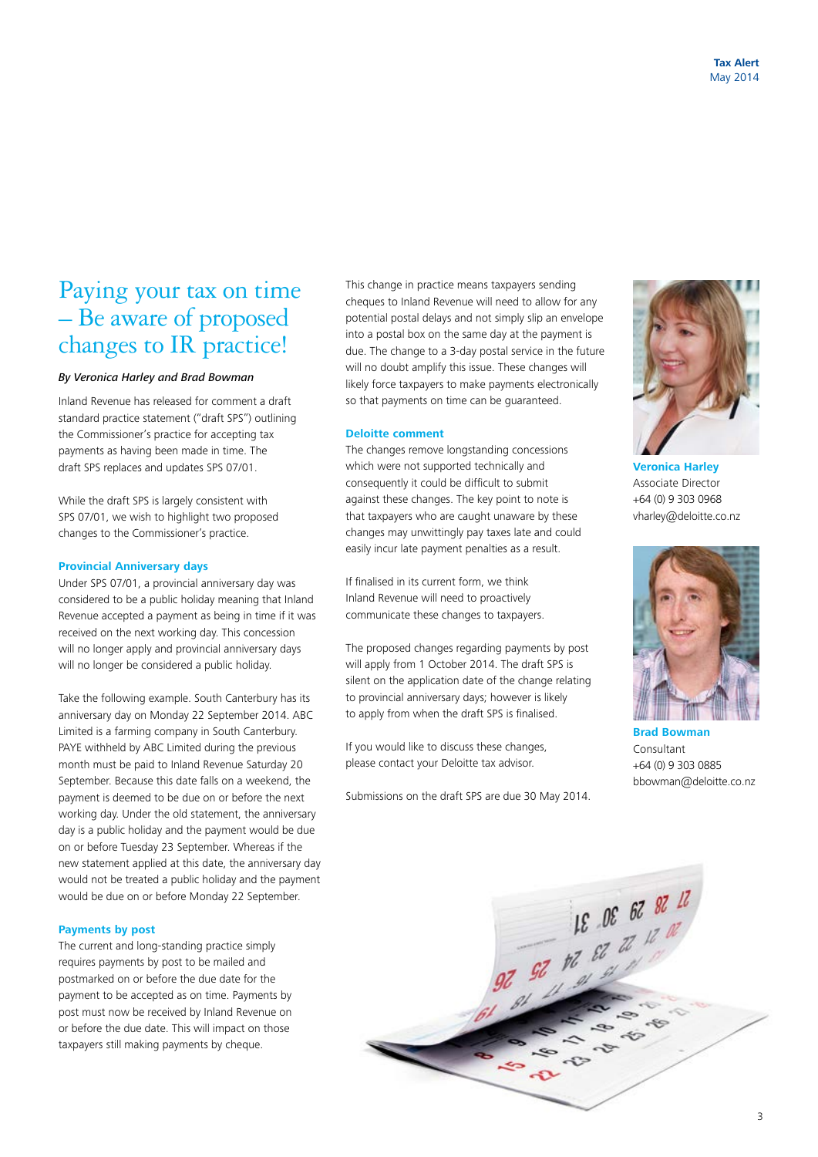### Paying your tax on time – Be aware of proposed changes to IR practice!

### *By Veronica Harley and Brad Bowman*

Inland Revenue has released for comment a draft standard practice statement ("draft SPS") outlining the Commissioner's practice for accepting tax payments as having been made in time. The draft SPS replaces and updates SPS 07/01.

While the draft SPS is largely consistent with SPS 07/01, we wish to highlight two proposed changes to the Commissioner's practice.

### **Provincial Anniversary days**

Under SPS 07/01, a provincial anniversary day was considered to be a public holiday meaning that Inland Revenue accepted a payment as being in time if it was received on the next working day. This concession will no longer apply and provincial anniversary days will no longer be considered a public holiday.

Take the following example. South Canterbury has its anniversary day on Monday 22 September 2014. ABC Limited is a farming company in South Canterbury. PAYE withheld by ABC Limited during the previous month must be paid to Inland Revenue Saturday 20 September. Because this date falls on a weekend, the payment is deemed to be due on or before the next working day. Under the old statement, the anniversary day is a public holiday and the payment would be due on or before Tuesday 23 September. Whereas if the new statement applied at this date, the anniversary day would not be treated a public holiday and the payment would be due on or before Monday 22 September.

### **Payments by post**

The current and long-standing practice simply requires payments by post to be mailed and postmarked on or before the due date for the payment to be accepted as on time. Payments by post must now be received by Inland Revenue on or before the due date. This will impact on those taxpayers still making payments by cheque.

This change in practice means taxpayers sending cheques to Inland Revenue will need to allow for any potential postal delays and not simply slip an envelope into a postal box on the same day at the payment is due. The change to a 3-day postal service in the future will no doubt amplify this issue. These changes will likely force taxpayers to make payments electronically so that payments on time can be guaranteed.

### **Deloitte comment**

The changes remove longstanding concessions which were not supported technically and consequently it could be difficult to submit against these changes. The key point to note is that taxpayers who are caught unaware by these changes may unwittingly pay taxes late and could easily incur late payment penalties as a result.

If finalised in its current form, we think Inland Revenue will need to proactively communicate these changes to taxpayers.

The proposed changes regarding payments by post will apply from 1 October 2014. The draft SPS is silent on the application date of the change relating to provincial anniversary days; however is likely to apply from when the draft SPS is finalised.

If you would like to discuss these changes, please contact your Deloitte tax advisor.

Submissions on the draft SPS are due 30 May 2014.



**Veronica Harley** Associate Director +64 (0) 9 303 0968 vharley@deloitte.co.nz



**Brad Bowman** Consultant +64 (0) 9 303 0885 bbowman@deloitte.co.nz

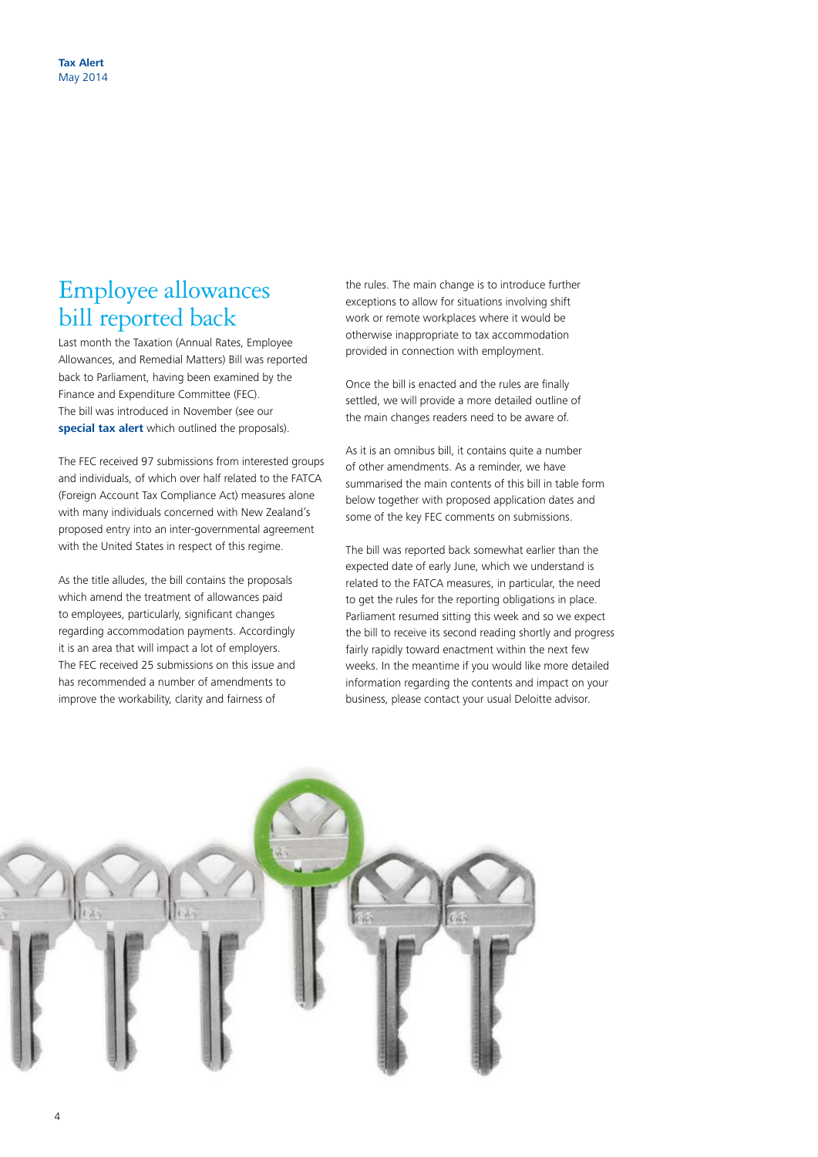### Employee allowances bill reported back

Last month the Taxation (Annual Rates, Employee Allowances, and Remedial Matters) Bill was reported back to Parliament, having been examined by the Finance and Expenditure Committee (FEC). The bill was introduced in November (see our **[special tax alert](http://www.deloitte.com/view/en_NZ/nz/services/tax-services/ffe3a63098c72410VgnVCM1000003256f70aRCRD.htm)** which outlined the proposals).

The FEC received 97 submissions from interested groups and individuals, of which over half related to the FATCA (Foreign Account Tax Compliance Act) measures alone with many individuals concerned with New Zealand's proposed entry into an inter-governmental agreement with the United States in respect of this regime.

As the title alludes, the bill contains the proposals which amend the treatment of allowances paid to employees, particularly, significant changes regarding accommodation payments. Accordingly it is an area that will impact a lot of employers. The FEC received 25 submissions on this issue and has recommended a number of amendments to improve the workability, clarity and fairness of

4

the rules. The main change is to introduce further exceptions to allow for situations involving shift work or remote workplaces where it would be otherwise inappropriate to tax accommodation provided in connection with employment.

Once the bill is enacted and the rules are finally settled, we will provide a more detailed outline of the main changes readers need to be aware of.

As it is an omnibus bill, it contains quite a number of other amendments. As a reminder, we have summarised the main contents of this bill in table form below together with proposed application dates and some of the key FEC comments on submissions.

The bill was reported back somewhat earlier than the expected date of early June, which we understand is related to the FATCA measures, in particular, the need to get the rules for the reporting obligations in place. Parliament resumed sitting this week and so we expect the bill to receive its second reading shortly and progress fairly rapidly toward enactment within the next few weeks. In the meantime if you would like more detailed information regarding the contents and impact on your business, please contact your usual Deloitte advisor.

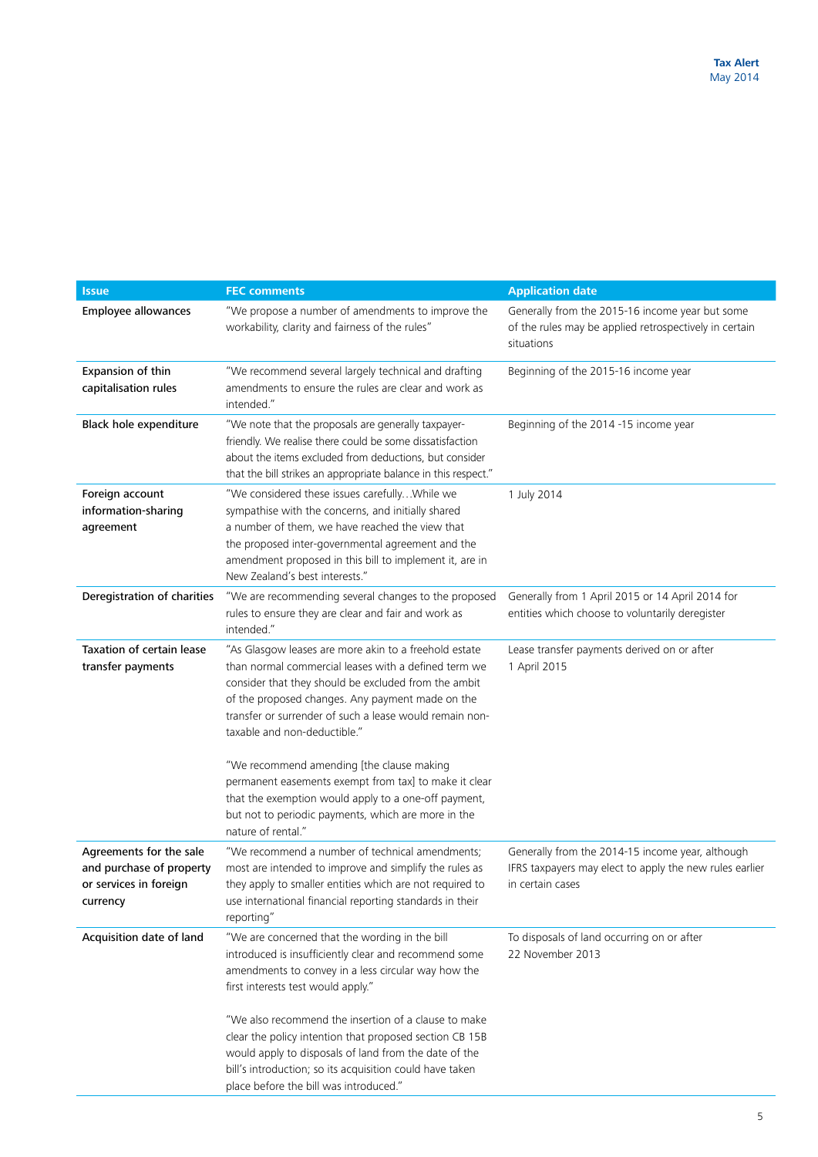| <b>Issue</b>                                                                              | <b>FEC comments</b>                                                                                                                                                                                                                                                                                                                                                                                                                                                                                                                       | <b>Application date</b>                                                                                                         |
|-------------------------------------------------------------------------------------------|-------------------------------------------------------------------------------------------------------------------------------------------------------------------------------------------------------------------------------------------------------------------------------------------------------------------------------------------------------------------------------------------------------------------------------------------------------------------------------------------------------------------------------------------|---------------------------------------------------------------------------------------------------------------------------------|
| Employee allowances                                                                       | "We propose a number of amendments to improve the<br>workability, clarity and fairness of the rules"                                                                                                                                                                                                                                                                                                                                                                                                                                      | Generally from the 2015-16 income year but some<br>of the rules may be applied retrospectively in certain<br>situations         |
| Expansion of thin<br>capitalisation rules                                                 | "We recommend several largely technical and drafting<br>amendments to ensure the rules are clear and work as<br>intended."                                                                                                                                                                                                                                                                                                                                                                                                                | Beginning of the 2015-16 income year                                                                                            |
| Black hole expenditure                                                                    | "We note that the proposals are generally taxpayer-<br>friendly. We realise there could be some dissatisfaction<br>about the items excluded from deductions, but consider<br>that the bill strikes an appropriate balance in this respect."                                                                                                                                                                                                                                                                                               | Beginning of the 2014 -15 income year                                                                                           |
| Foreign account<br>information-sharing<br>agreement                                       | "We considered these issues carefully While we<br>sympathise with the concerns, and initially shared<br>a number of them, we have reached the view that<br>the proposed inter-governmental agreement and the<br>amendment proposed in this bill to implement it, are in<br>New Zealand's best interests."                                                                                                                                                                                                                                 | 1 July 2014                                                                                                                     |
| Deregistration of charities                                                               | "We are recommending several changes to the proposed<br>rules to ensure they are clear and fair and work as<br>intended."                                                                                                                                                                                                                                                                                                                                                                                                                 | Generally from 1 April 2015 or 14 April 2014 for<br>entities which choose to voluntarily deregister                             |
| Taxation of certain lease<br>transfer payments                                            | "As Glasgow leases are more akin to a freehold estate<br>than normal commercial leases with a defined term we<br>consider that they should be excluded from the ambit<br>of the proposed changes. Any payment made on the<br>transfer or surrender of such a lease would remain non-<br>taxable and non-deductible."<br>"We recommend amending [the clause making<br>permanent easements exempt from tax] to make it clear<br>that the exemption would apply to a one-off payment,<br>but not to periodic payments, which are more in the | Lease transfer payments derived on or after<br>1 April 2015                                                                     |
| Agreements for the sale<br>and purchase of property<br>or services in foreign<br>currency | nature of rental."<br>"We recommend a number of technical amendments;<br>most are intended to improve and simplify the rules as<br>they apply to smaller entities which are not required to<br>use international financial reporting standards in their<br>reporting"                                                                                                                                                                                                                                                                     | Generally from the 2014-15 income year, although<br>IFRS taxpayers may elect to apply the new rules earlier<br>in certain cases |
| Acquisition date of land                                                                  | "We are concerned that the wording in the bill<br>introduced is insufficiently clear and recommend some<br>amendments to convey in a less circular way how the<br>first interests test would apply."<br>"We also recommend the insertion of a clause to make<br>clear the policy intention that proposed section CB 15B<br>would apply to disposals of land from the date of the<br>bill's introduction; so its acquisition could have taken<br>place before the bill was introduced."                                                    | To disposals of land occurring on or after<br>22 November 2013                                                                  |